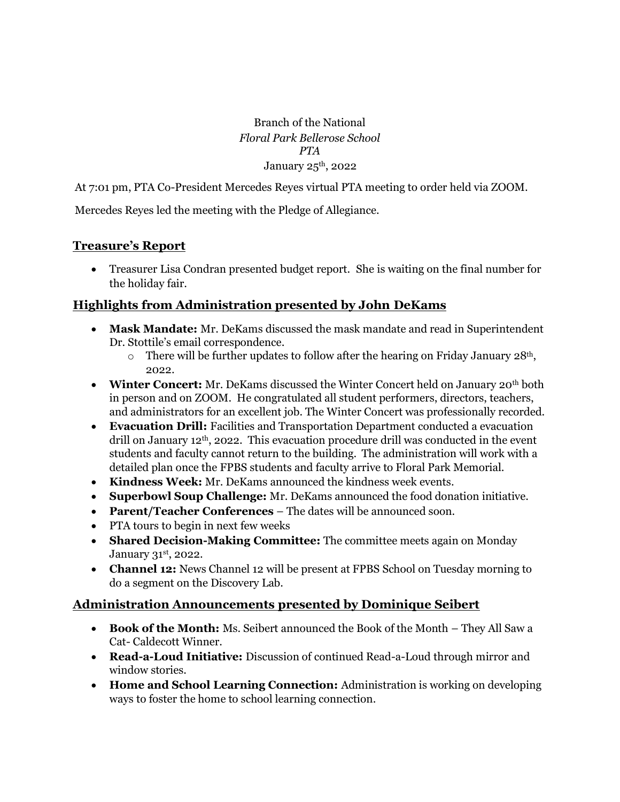Branch of the National *Floral Park Bellerose School PTA* January  $25<sup>th</sup>$ , 2022

At 7:01 pm, PTA Co-President Mercedes Reyes virtual PTA meeting to order held via ZOOM.

Mercedes Reyes led the meeting with the Pledge of Allegiance.

# **Treasure's Report**

• Treasurer Lisa Condran presented budget report. She is waiting on the final number for the holiday fair.

# **Highlights from Administration presented by John DeKams**

- **Mask Mandate:** Mr. DeKams discussed the mask mandate and read in Superintendent Dr. Stottile's email correspondence.
	- $\circ$  There will be further updates to follow after the hearing on Friday January 28<sup>th</sup>, 2022.
- **Winter Concert:** Mr. DeKams discussed the Winter Concert held on January 20<sup>th</sup> both in person and on ZOOM. He congratulated all student performers, directors, teachers, and administrators for an excellent job. The Winter Concert was professionally recorded.
- **Evacuation Drill:** Facilities and Transportation Department conducted a evacuation drill on January 12<sup>th</sup>, 2022. This evacuation procedure drill was conducted in the event students and faculty cannot return to the building. The administration will work with a detailed plan once the FPBS students and faculty arrive to Floral Park Memorial.
- **Kindness Week:** Mr. DeKams announced the kindness week events.
- **Superbowl Soup Challenge:** Mr. DeKams announced the food donation initiative.
- **Parent/Teacher Conferences** The dates will be announced soon.
- PTA tours to begin in next few weeks
- **Shared Decision-Making Committee:** The committee meets again on Monday January 31st, 2022.
- **Channel 12:** News Channel 12 will be present at FPBS School on Tuesday morning to do a segment on the Discovery Lab.

# **Administration Announcements presented by Dominique Seibert**

- **Book of the Month:** Ms. Seibert announced the Book of the Month They All Saw a Cat- Caldecott Winner.
- **Read-a-Loud Initiative:** Discussion of continued Read-a-Loud through mirror and window stories.
- **Home and School Learning Connection:** Administration is working on developing ways to foster the home to school learning connection.